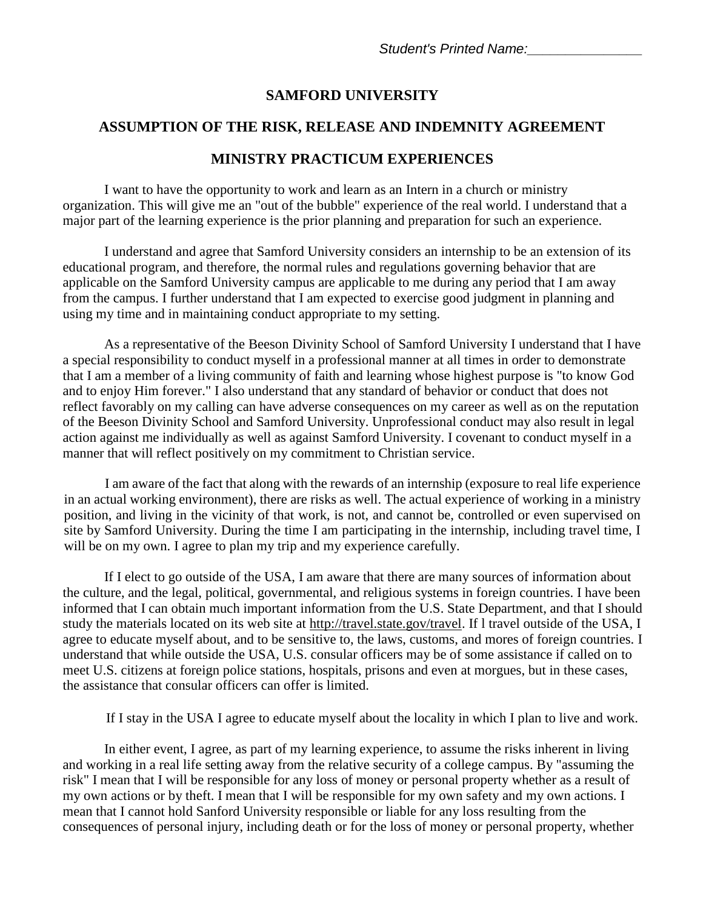## **SAMFORD UNIVERSITY**

## **ASSUMPTION OF THE RISK, RELEASE AND INDEMNITY AGREEMENT**

## **MINISTRY PRACTICUM EXPERIENCES**

I want to have the opportunity to work and learn as an Intern in a church or ministry organization. This will give me an "out of the bubble" experience of the real world. I understand that a major part of the learning experience is the prior planning and preparation for such an experience.

I understand and agree that Samford University considers an internship to be an extension of its educational program, and therefore, the normal rules and regulations governing behavior that are applicable on the Samford University campus are applicable to me during any period that I am away from the campus. I further understand that I am expected to exercise good judgment in planning and using my time and in maintaining conduct appropriate to my setting.

As a representative of the Beeson Divinity School of Samford University I understand that I have a special responsibility to conduct myself in a professional manner at all times in order to demonstrate that I am a member of a living community of faith and learning whose highest purpose is "to know God and to enjoy Him forever." I also understand that any standard of behavior or conduct that does not reflect favorably on my calling can have adverse consequences on my career as well as on the reputation of the Beeson Divinity School and Samford University. Unprofessional conduct may also result in legal action against me individually as well as against Samford University. I covenant to conduct myself in a manner that will reflect positively on my commitment to Christian service.

I am aware of the fact that along with the rewards of an internship (exposure to real life experience in an actual working environment), there are risks as well. The actual experience of working in a ministry position, and living in the vicinity of that work, is not, and cannot be, controlled or even supervised on site by Samford University. During the time I am participating in the internship, including travel time, I will be on my own. I agree to plan my trip and my experience carefully.

If I elect to go outside of the USA, I am aware that there are many sources of information about the culture, and the legal, political, governmental, and religious systems in foreign countries. I have been informed that I can obtain much important information from the U.S. State Department, and that I should study the materials located on its web site at http://travel.state.gov/travel. If l travel outside of the USA, I agree to educate myself about, and to be sensitive to, the laws, customs, and mores of foreign countries. I understand that while outside the USA, U.S. consular officers may be of some assistance if called on to meet U.S. citizens at foreign police stations, hospitals, prisons and even at morgues, but in these cases, the assistance that consular officers can offer is limited.

If I stay in the USA I agree to educate myself about the locality in which I plan to live and work.

In either event, I agree, as part of my learning experience, to assume the risks inherent in living and working in a real life setting away from the relative security of a college campus. By "assuming the risk" I mean that I will be responsible for any loss of money or personal property whether as a result of my own actions or by theft. I mean that I will be responsible for my own safety and my own actions. I mean that I cannot hold Sanford University responsible or liable for any loss resulting from the consequences of personal injury, including death or for the loss of money or personal property, whether